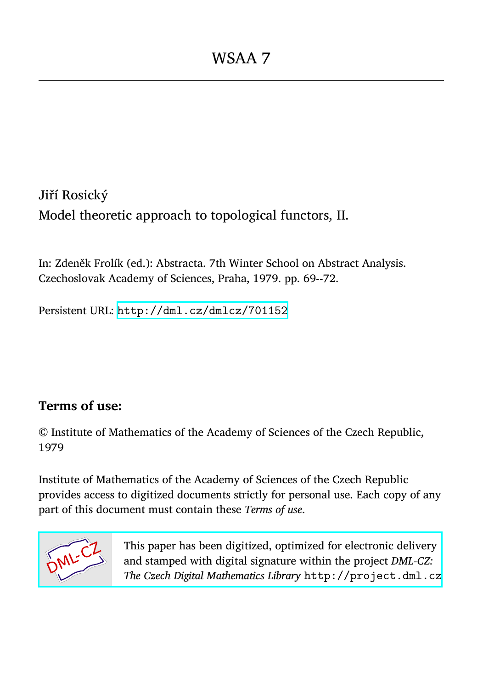Jiří Rosický Model theoretic approach to topological functors, II.

In: Zdeněk Frolík (ed.): Abstracta. 7th Winter School on Abstract Analysis. Czechoslovak Academy of Sciences, Praha, 1979. pp. 69--72.

Persistent URL: <http://dml.cz/dmlcz/701152>

# **Terms of use:**

© Institute of Mathematics of the Academy of Sciences of the Czech Republic, 1979

Institute of Mathematics of the Academy of Sciences of the Czech Republic provides access to digitized documents strictly for personal use. Each copy of any part of this document must contain these *Terms of use*.



[This paper has been digitized, optimized for electronic delivery](http://project.dml.cz) and stamped with digital signature within the project *DML-CZ: The Czech Digital Mathematics Library* http://project.dml.cz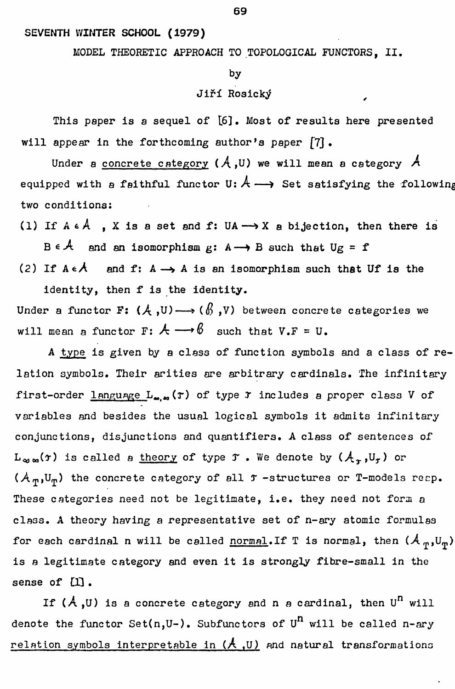### **SEVEN**T**H WINTER S**C**HOOL (1979)**

# **MODEL THEORETI**C **A**PPR**OA**C**H TO TOPOLOGICAL** *.***FUN**C**TO**R**S, II.**

#### **by**

## **Jiff** R**osic**k**tf**

This paper is a sequel of [6]. Most of results here presented **will a**pp**ear in the forthcoming author's** p**a**p**er £**7**] •** 

Under a concrete category  $(A, U)$  we will mean a category  $A$ **equipped with a faithful functor**  $U: A \longrightarrow$  **Set satisfying the following two con**d**itions:** 

(1) If  $A \in A$ ,  $X$  is a set and  $f: UA \longrightarrow X$  a bijection, then there is  $B \in \mathcal{A}$  and an isomorphism  $g: A \longrightarrow B$  such that  $Ug = f$ 

(2) If  $A \in \mathcal{A}$  and **f:**  $A \rightarrow A$  is an isomorphism such that Uf is the **i**d**entity, then f is the i**d**entity.** 

Under a functor F:  $(A, U) \longrightarrow (\beta, V)$  between concrete categories we will mean a functor  $\mathbf{F}$ :  $\mathcal{A} \longrightarrow \mathcal{B}$  such that  $V \cdot \mathbf{F} = \mathbf{U}$ .

**A ty**p**e is given** b**y a class of function sym**b**ols an**d **a class of relation sym**b**ols. Their arities are ar**b**itrary car**d**inals. The infinitary first-or**d**er language L^,^ (r) of ty**p**e** *T* **inclu**d**es a** p**ro**p**er class V of varia**b**les an**d b**esi**d**es the usual logical sym**b**ols it a**d**mits infinitary conjunctions,** d**isjunctions an**d q**uantifiers. A class of sentences of**   $L_{\infty,\infty}(\tau)$  is called a <u>theory</u> of type  $\tau$  . We denote by  $(A_{\tau},U_{\tau})$  or  $(A_m, U_m)$  the concrete category of all  $\tau$  -structures or T-models reep. **These categories nee**d **not** b**e legitimate, i.e. they nee**d **not form a class. A theory having a re**p**resentative set of n-ary atomic formulas**  for each cardinal n will be called **normal**. If T is normal, then  $(A_{\pi},U_{\pi})$ **is a legitimate category an**d **even it is strongly fi**b**re-small in the**  sense of [1].

If  $(A, U)$  is a concrete category and n a cardinal, then  $U<sup>n</sup>$  will d**enote the functor Set(n,U-). Su**b**functors of U<sup>n</sup> will** b**e calle**d **n-ary relation sym**b**ols interpreta**b**le in (A <sup>t</sup>U) an**d **natural transformations**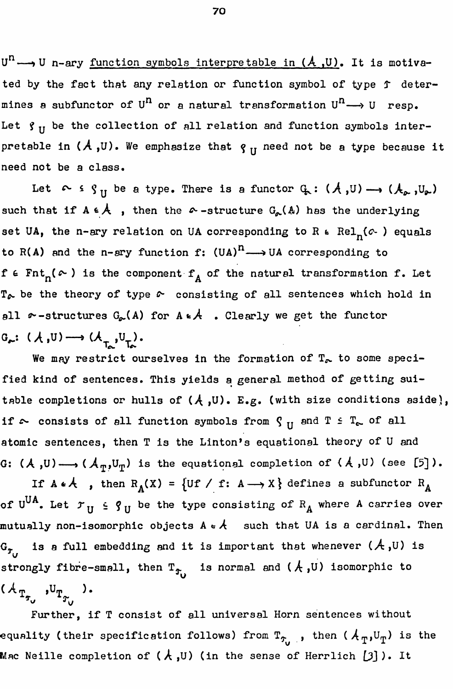$U^{n} \longrightarrow U$  n-ary function symbols interpretable in  $(A, U)$ . It is motivated by the fact that any relation or function symbol of type  $f$  determines a subfunctor of U<sup>n</sup> or a natural transformation U<sup>n</sup>  $\rightarrow$  U resp. Let  $\gamma$ <sub>II</sub> be the collection of all relation and function symbols interpretable in  $(A, U)$ . We emphasize that  $g_{II}$  need not be a type because it need not be a class.

Let  $\sim$   $\varsigma$   $\varsigma$ <sub>II</sub> be a type. There is a functor  $\varsigma$  :  $(A, U) \longrightarrow (A_{\infty}, U_{\infty})$ such that if  $A \in \mathcal{A}$ , then the  $\infty$ -structure  $G_{\rho}(\mathbb{A})$  has the underlying set UA, the n-ary relation on UA corresponding to R  $\epsilon$  Rel<sub>n</sub>( $\alpha$ ) equals to R(A) and the n-ary function f:  $(UA)^n \longrightarrow UA$  corresponding to f  $\epsilon$  Fnt<sub>n</sub>( $\sim$ ) is the component f<sub>A</sub> of the natural transformation f. Let  $T_{\phi}$  be the theory of type  $\phi$  consisting of all sentences which hold in all  $\infty$ -structures  $G_{\infty}(A)$  for  $A \in \mathcal{A}$  . Clearly we get the functor  $G_{\star}: (\mathcal{A}, U) \longrightarrow (\mathcal{A}_{\star}, U_{\star}).$ 

We may restrict ourselves in the formation of  $T_{\infty}$  to some specified kind of sentences. This yields a general method of getting suitable completions or hulls of  $(A, U)$ . E.g. (with size conditions aside), if  $\sim$  consists of all function symbols from  $\gamma_H$  and  $T \subset T_{\sim}$  of all atomic sentences, then T is the Linton's equational theory of U and G:  $(A, U) \longrightarrow (A_{\eta}, U_{\eta})$  is the equational completion of  $(A, U)$  (see [5]).

If  $A \cdot A$ , then  $R_A(X) = \{Uf \mid f: A \longrightarrow X\}$  defines a subfunctor  $R_A$ of U<sup>UA</sup>. Let  $\mathcal{T}_\text{H}$   $\leq$   $\mathcal{G}_\text{H}$  be the type consisting of  $\text{R}_{\text{A}}$  where A carries over mutually non-isomorphic objects  $A\,\texttt{\scriptsize$\star$}\,A$  such that UA is a cardinal. Then  $\texttt{G}_{\tau_{i,t}}$  is a full embedding and it is important that whenever ( $\mathcal{A}$ ,U) is strongly fibre-small, then  $T_{\hat{T}_{1}}$  is normal and  $(A, U)$  isomorphic to  $(A_{T_{\tau_{\upsilon}}},U_{T_{\tau_{\upsilon}}})$ .

Further, if T consist of all universal Horn sentences without equality (their specification follows) from  $\texttt{T}_{\tau_{i}}$  , then ( $\texttt{A}_{\texttt{T}} , \texttt{U}_{\texttt{T}}$ ) is the Mac Neille completion of ( $\lambda$  ,U) (in the sense of Herrlich  $\texttt{[\jmath]}$  ). It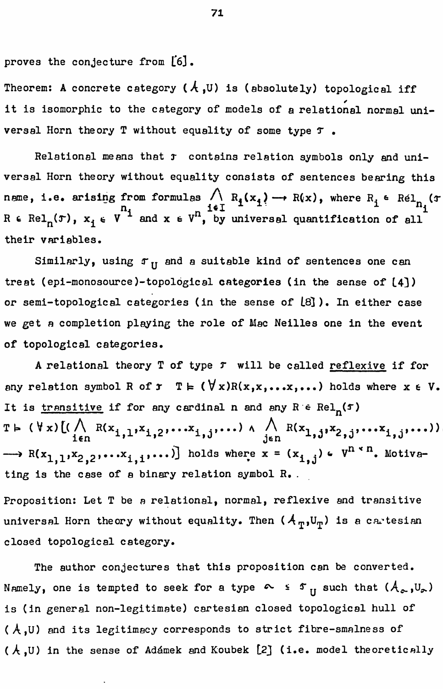proves the conjecture from [6].

Theorem: A concrete category  $(A, U)$  is (absolutely) topological iff it is isomorphic to the category of models of a relational normal universal Horn theory T without equality of some type  $\tau$ .

Relational means that r contains relation symbols only and universal Horn theory without equality consists of sentences bearing this name, i.e. arising from formulas  $\bigwedge_{i \in I} R_i(x_i) \longrightarrow R(x)$ , where  $R_i \in \text{Rel}_{n_i}(\tau)$ <br>R  $\in \text{Rel}_{n}(\tau)$ ,  $x_i \in V$  and  $x \in V$ , by universal quantification of all their variables.

Similarly, using  $r_{\text{II}}$  and a suitable kind of sentences one can treat (epi-monosource)-topological categories (in the sense of [4]) or semi-topological categories (in the sense of  $\lfloor 8 \rfloor$ ). In either case we get a completion playing the role of Mac Neilles one in the event of topological categories.

A relational theory T of type  $r$  will be called reflexive if for any relation symbol R of  $r \in (\forall x)R(x,x,...,x,...)$  holds where  $x \in V$ . It is transitive if for any cardinal n and any  $R \in Rel_n(f)$ T  $\vdash$  (  $\forall$  x)  $[(\bigwedge_{i \in n} R(x_{i,1}, x_{i,2}, \ldots, x_{i,j}, \ldots)) \wedge \bigwedge_{j \in n} R(x_{1,j}, x_{2,j}, \ldots, x_{i,j}, \ldots))$  $\longrightarrow R(x_{1,1},x_{2,2},...,x_{1,1},...)$  holds where  $x = (x_{1,j}) \in V^{n \times n}$ . Motivating is the case of a binary relation symbol R.

Proposition: Let T be a relational, normal, reflexive and transitive universal Horn theory without equality. Then  $(A_{\eta},U_{\eta})$  is a cartesian closed topological category.

The author conjectures that this proposition can be converted. Namely, one is tempted to seek for a type  $\sim$   $\sim$   $\sigma$ <sub>II</sub> such that  $(A_{\infty},U_{\infty})$ is (in general non-legitimate) cartesian closed topological hull of  $(A, U)$  and its legitimacy corresponds to strict fibre-smalness of (A,U) in the sense of Adámek and Koubek [2] (i.e. model theoretically